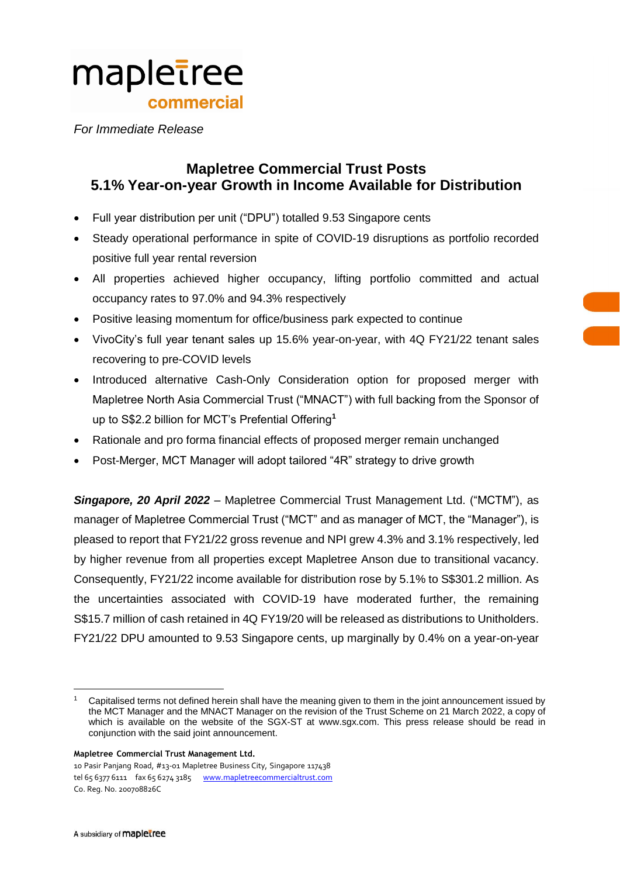

*For Immediate Release*

# **Mapletree Commercial Trust Posts 5.1% Year-on-year Growth in Income Available for Distribution**

- Full year distribution per unit ("DPU") totalled 9.53 Singapore cents
- Steady operational performance in spite of COVID-19 disruptions as portfolio recorded positive full year rental reversion
- All properties achieved higher occupancy, lifting portfolio committed and actual occupancy rates to 97.0% and 94.3% respectively
- Positive leasing momentum for office/business park expected to continue
- VivoCity's full year tenant sales up 15.6% year-on-year, with 4Q FY21/22 tenant sales recovering to pre-COVID levels
- Introduced alternative Cash-Only Consideration option for proposed merger with Mapletree North Asia Commercial Trust ("MNACT") with full backing from the Sponsor of up to S\$2.2 billion for MCT's Prefential Offering**<sup>1</sup>**
- Rationale and pro forma financial effects of proposed merger remain unchanged
- Post-Merger, MCT Manager will adopt tailored "4R" strategy to drive growth

*Singapore, 20 April 2022* – Mapletree Commercial Trust Management Ltd. ("MCTM"), as manager of Mapletree Commercial Trust ("MCT" and as manager of MCT, the "Manager"), is pleased to report that FY21/22 gross revenue and NPI grew 4.3% and 3.1% respectively, led by higher revenue from all properties except Mapletree Anson due to transitional vacancy. Consequently, FY21/22 income available for distribution rose by 5.1% to S\$301.2 million. As the uncertainties associated with COVID-19 have moderated further, the remaining S\$15.7 million of cash retained in 4Q FY19/20 will be released as distributions to Unitholders. FY21/22 DPU amounted to 9.53 Singapore cents, up marginally by 0.4% on a year-on-year

 $\overline{a}$ 

<sup>1</sup> Capitalised terms not defined herein shall have the meaning given to them in the joint announcement issued by the MCT Manager and the MNACT Manager on the revision of the Trust Scheme on 21 March 2022, a copy of which is available on the website of the SGX-ST at www.sgx.com. This press release should be read in conjunction with the said joint announcement.

**Mapletree Commercial Trust Management Ltd.**

<sup>10</sup> Pasir Panjang Road, #13-01 Mapletree Business City, Singapore 117438 tel 65 6377 6111 fax 65 6274 3185 [www.mapletreecommercialtrust.com](http://www.mapletree.com.sg/) Co. Reg. No. 200708826C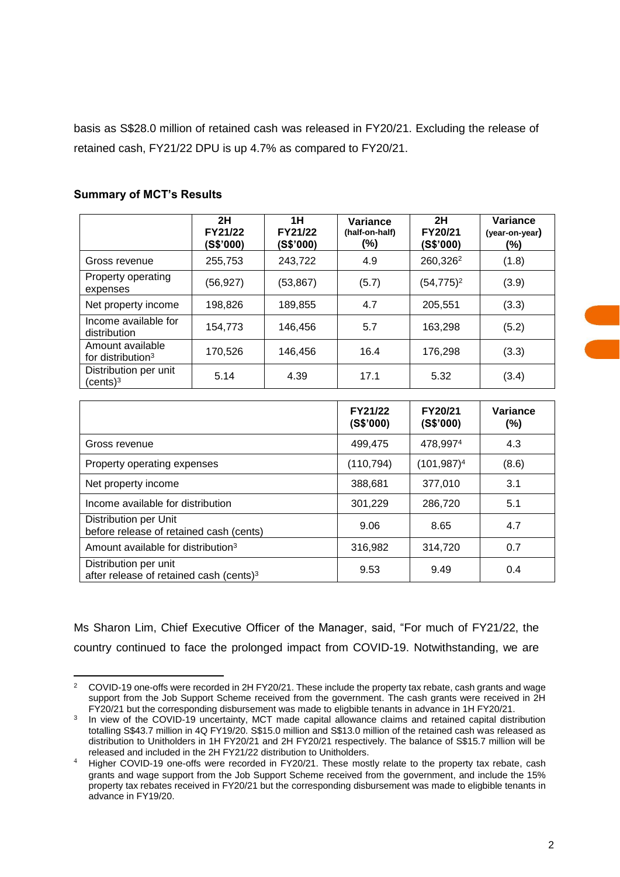basis as S\$28.0 million of retained cash was released in FY20/21. Excluding the release of retained cash, FY21/22 DPU is up 4.7% as compared to FY20/21.

|                                                   | 2H<br>FY21/22<br>(S\$'000) | 1H<br>FY21/22<br>(S\$'000) | Variance<br>(half-on-half)<br>(%) | 2H<br>FY20/21<br>(S\$'000) | Variance<br>(year-on-year)<br>(%) |
|---------------------------------------------------|----------------------------|----------------------------|-----------------------------------|----------------------------|-----------------------------------|
| Gross revenue                                     | 255,753                    | 243.722                    | 4.9                               | 260,326 <sup>2</sup>       | (1.8)                             |
| Property operating<br>expenses                    | (56,927)                   | (53, 867)                  | (5.7)                             | $(54, 775)^2$              | (3.9)                             |
| Net property income                               | 198,826                    | 189,855                    | 4.7                               | 205.551                    | (3.3)                             |
| Income available for<br>distribution              | 154,773                    | 146,456                    | 5.7                               | 163,298                    | (5.2)                             |
| Amount available<br>for distribution <sup>3</sup> | 170,526                    | 146,456                    | 16.4                              | 176,298                    | (3.3)                             |
| Distribution per unit<br>(cents) $^3$             | 5.14                       | 4.39                       | 17.1                              | 5.32                       | (3.4)                             |

## **Summary of MCT's Results**

|                                                                              | FY21/22<br>(S\$'000) | FY20/21<br>(S\$'000) | Variance<br>$(\%)$ |
|------------------------------------------------------------------------------|----------------------|----------------------|--------------------|
| Gross revenue                                                                | 499,475              | 478,9974             | 4.3                |
| Property operating expenses                                                  | (110, 794)           | $(101, 987)^4$       | (8.6)              |
| Net property income                                                          | 388,681              | 377,010              | 3.1                |
| Income available for distribution                                            | 301,229              | 286,720              | 5.1                |
| Distribution per Unit<br>before release of retained cash (cents)             | 9.06                 | 8.65                 | 4.7                |
| Amount available for distribution <sup>3</sup>                               | 316,982              | 314,720              | 0.7                |
| Distribution per unit<br>after release of retained cash (cents) <sup>3</sup> | 9.53                 | 9.49                 | 0.4                |

Ms Sharon Lim, Chief Executive Officer of the Manager, said, "For much of FY21/22, the country continued to face the prolonged impact from COVID-19. Notwithstanding, we are

 $\overline{a}$ <sup>2</sup> COVID-19 one-offs were recorded in 2H FY20/21. These include the property tax rebate, cash grants and wage support from the Job Support Scheme received from the government. The cash grants were received in 2H FY20/21 but the corresponding disbursement was made to eligbible tenants in advance in 1H FY20/21.

<sup>3</sup> In view of the COVID-19 uncertainty, MCT made capital allowance claims and retained capital distribution totalling S\$43.7 million in 4Q FY19/20. S\$15.0 million and S\$13.0 million of the retained cash was released as distribution to Unitholders in 1H FY20/21 and 2H FY20/21 respectively. The balance of S\$15.7 million will be released and included in the 2H FY21/22 distribution to Unitholders.

<sup>&</sup>lt;sup>4</sup> Higher COVID-19 one-offs were recorded in FY20/21. These mostly relate to the property tax rebate, cash grants and wage support from the Job Support Scheme received from the government, and include the 15% property tax rebates received in FY20/21 but the corresponding disbursement was made to eligbible tenants in advance in FY19/20.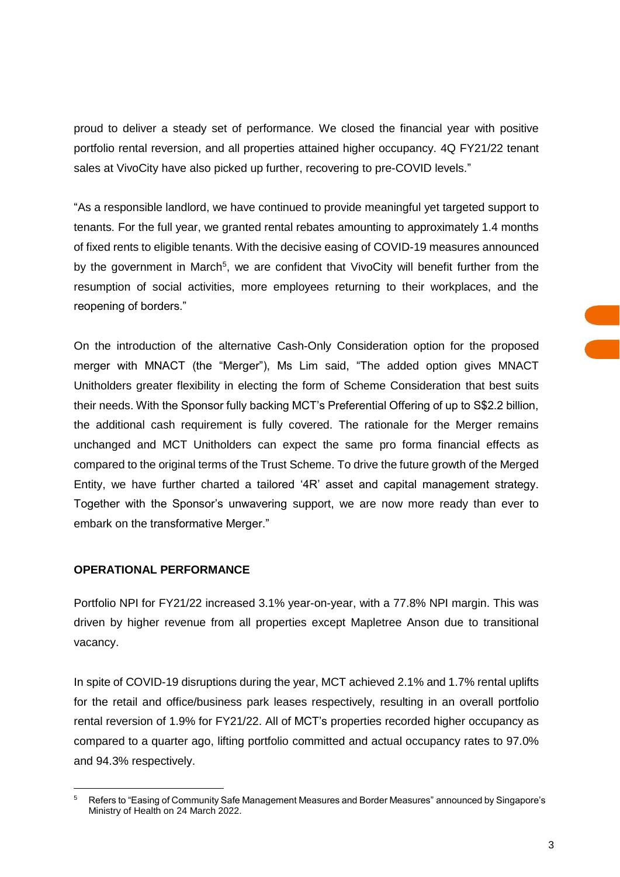proud to deliver a steady set of performance. We closed the financial year with positive portfolio rental reversion, and all properties attained higher occupancy. 4Q FY21/22 tenant sales at VivoCity have also picked up further, recovering to pre-COVID levels."

"As a responsible landlord, we have continued to provide meaningful yet targeted support to tenants. For the full year, we granted rental rebates amounting to approximately 1.4 months of fixed rents to eligible tenants. With the decisive easing of COVID-19 measures announced by the government in March<sup>5</sup>, we are confident that VivoCity will benefit further from the resumption of social activities, more employees returning to their workplaces, and the reopening of borders."

On the introduction of the alternative Cash-Only Consideration option for the proposed merger with MNACT (the "Merger"), Ms Lim said, "The added option gives MNACT Unitholders greater flexibility in electing the form of Scheme Consideration that best suits their needs. With the Sponsor fully backing MCT's Preferential Offering of up to S\$2.2 billion, the additional cash requirement is fully covered. The rationale for the Merger remains unchanged and MCT Unitholders can expect the same pro forma financial effects as compared to the original terms of the Trust Scheme. To drive the future growth of the Merged Entity, we have further charted a tailored '4R' asset and capital management strategy. Together with the Sponsor's unwavering support, we are now more ready than ever to embark on the transformative Merger."

## **OPERATIONAL PERFORMANCE**

 $\overline{a}$ 

Portfolio NPI for FY21/22 increased 3.1% year-on-year, with a 77.8% NPI margin. This was driven by higher revenue from all properties except Mapletree Anson due to transitional vacancy.

In spite of COVID-19 disruptions during the year, MCT achieved 2.1% and 1.7% rental uplifts for the retail and office/business park leases respectively, resulting in an overall portfolio rental reversion of 1.9% for FY21/22. All of MCT's properties recorded higher occupancy as compared to a quarter ago, lifting portfolio committed and actual occupancy rates to 97.0% and 94.3% respectively.

<sup>5</sup> Refers to "Easing of Community Safe Management Measures and Border Measures" announced by Singapore's Ministry of Health on 24 March 2022.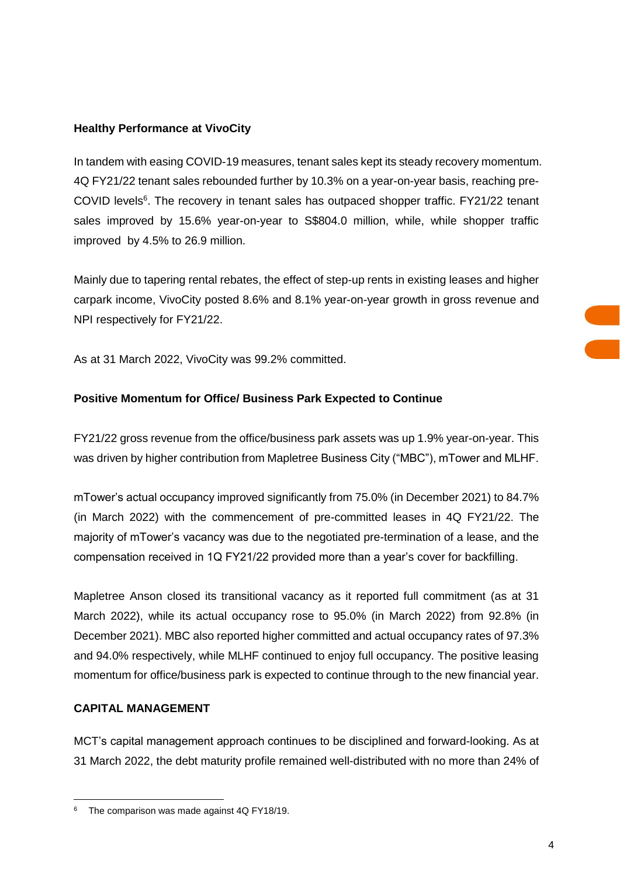# **Healthy Performance at VivoCity**

In tandem with easing COVID-19 measures, tenant sales kept its steady recovery momentum. 4Q FY21/22 tenant sales rebounded further by 10.3% on a year-on-year basis, reaching pre-COVID levels<sup>6</sup>. The recovery in tenant sales has outpaced shopper traffic. FY21/22 tenant sales improved by 15.6% year-on-year to S\$804.0 million, while, while shopper traffic improved by 4.5% to 26.9 million.

Mainly due to tapering rental rebates, the effect of step-up rents in existing leases and higher carpark income, VivoCity posted 8.6% and 8.1% year-on-year growth in gross revenue and NPI respectively for FY21/22.

As at 31 March 2022, VivoCity was 99.2% committed.

# **Positive Momentum for Office/ Business Park Expected to Continue**

FY21/22 gross revenue from the office/business park assets was up 1.9% year-on-year. This was driven by higher contribution from Mapletree Business City ("MBC"), mTower and MLHF.

mTower's actual occupancy improved significantly from 75.0% (in December 2021) to 84.7% (in March 2022) with the commencement of pre-committed leases in 4Q FY21/22. The majority of mTower's vacancy was due to the negotiated pre-termination of a lease, and the compensation received in 1Q FY21/22 provided more than a year's cover for backfilling.

Mapletree Anson closed its transitional vacancy as it reported full commitment (as at 31 March 2022), while its actual occupancy rose to 95.0% (in March 2022) from 92.8% (in December 2021). MBC also reported higher committed and actual occupancy rates of 97.3% and 94.0% respectively, while MLHF continued to enjoy full occupancy. The positive leasing momentum for office/business park is expected to continue through to the new financial year.

# **CAPITAL MANAGEMENT**

MCT's capital management approach continues to be disciplined and forward-looking. As at 31 March 2022, the debt maturity profile remained well-distributed with no more than 24% of

 $\overline{a}$ <sup>6</sup> The comparison was made against 4Q FY18/19.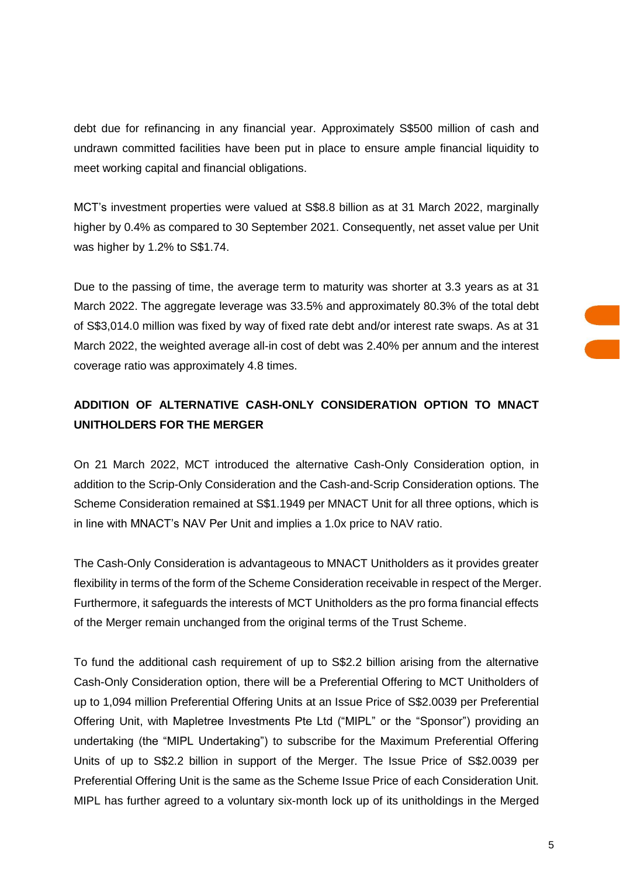debt due for refinancing in any financial year. Approximately S\$500 million of cash and undrawn committed facilities have been put in place to ensure ample financial liquidity to meet working capital and financial obligations.

MCT's investment properties were valued at S\$8.8 billion as at 31 March 2022, marginally higher by 0.4% as compared to 30 September 2021. Consequently, net asset value per Unit was higher by 1.2% to S\$1.74.

Due to the passing of time, the average term to maturity was shorter at 3.3 years as at 31 March 2022. The aggregate leverage was 33.5% and approximately 80.3% of the total debt of S\$3,014.0 million was fixed by way of fixed rate debt and/or interest rate swaps. As at 31 March 2022, the weighted average all-in cost of debt was 2.40% per annum and the interest coverage ratio was approximately 4.8 times.

# **ADDITION OF ALTERNATIVE CASH-ONLY CONSIDERATION OPTION TO MNACT UNITHOLDERS FOR THE MERGER**

On 21 March 2022, MCT introduced the alternative Cash-Only Consideration option, in addition to the Scrip-Only Consideration and the Cash-and-Scrip Consideration options. The Scheme Consideration remained at S\$1.1949 per MNACT Unit for all three options, which is in line with MNACT's NAV Per Unit and implies a 1.0x price to NAV ratio.

The Cash-Only Consideration is advantageous to MNACT Unitholders as it provides greater flexibility in terms of the form of the Scheme Consideration receivable in respect of the Merger. Furthermore, it safeguards the interests of MCT Unitholders as the pro forma financial effects of the Merger remain unchanged from the original terms of the Trust Scheme.

To fund the additional cash requirement of up to S\$2.2 billion arising from the alternative Cash-Only Consideration option, there will be a Preferential Offering to MCT Unitholders of up to 1,094 million Preferential Offering Units at an Issue Price of S\$2.0039 per Preferential Offering Unit, with Mapletree Investments Pte Ltd ("MIPL" or the "Sponsor") providing an undertaking (the "MIPL Undertaking") to subscribe for the Maximum Preferential Offering Units of up to S\$2.2 billion in support of the Merger. The Issue Price of S\$2.0039 per Preferential Offering Unit is the same as the Scheme Issue Price of each Consideration Unit. MIPL has further agreed to a voluntary six-month lock up of its unitholdings in the Merged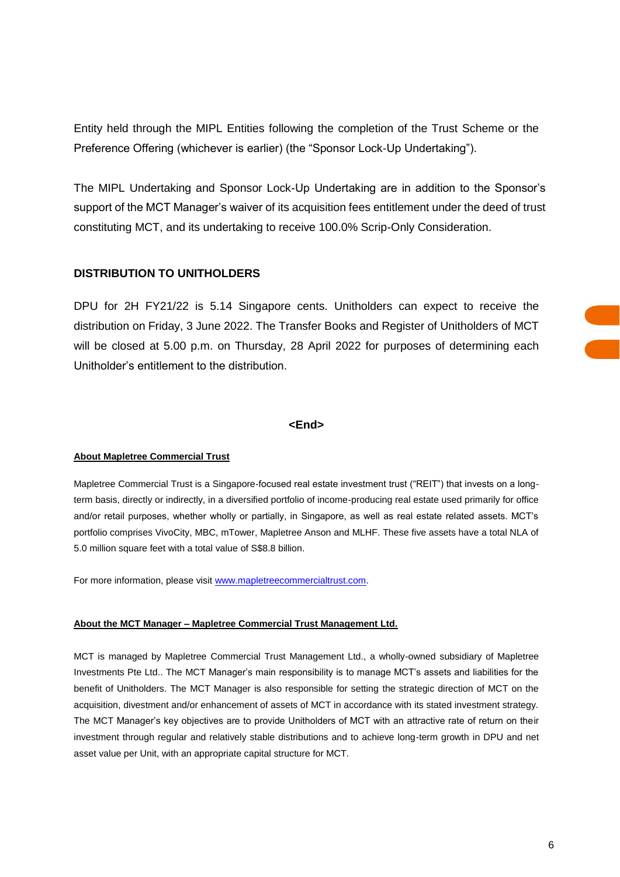Entity held through the MIPL Entities following the completion of the Trust Scheme or the Preference Offering (whichever is earlier) (the "Sponsor Lock-Up Undertaking").

The MIPL Undertaking and Sponsor Lock-Up Undertaking are in addition to the Sponsor's support of the MCT Manager's waiver of its acquisition fees entitlement under the deed of trust constituting MCT, and its undertaking to receive 100.0% Scrip-Only Consideration.

## **DISTRIBUTION TO UNITHOLDERS**

DPU for 2H FY21/22 is 5.14 Singapore cents. Unitholders can expect to receive the distribution on Friday, 3 June 2022. The Transfer Books and Register of Unitholders of MCT will be closed at 5.00 p.m. on Thursday, 28 April 2022 for purposes of determining each Unitholder's entitlement to the distribution.

## **<End>**

#### **About Mapletree Commercial Trust**

Mapletree Commercial Trust is a Singapore-focused real estate investment trust ("REIT") that invests on a longterm basis, directly or indirectly, in a diversified portfolio of income-producing real estate used primarily for office and/or retail purposes, whether wholly or partially, in Singapore, as well as real estate related assets. MCT's portfolio comprises VivoCity, MBC, mTower, Mapletree Anson and MLHF. These five assets have a total NLA of 5.0 million square feet with a total value of S\$8.8 billion.

For more information, please visit [www.mapletreecommercialtrust.com.](http://www.mapletreecommercialtrust.com/)

## **About the MCT Manager – Mapletree Commercial Trust Management Ltd.**

MCT is managed by Mapletree Commercial Trust Management Ltd., a wholly-owned subsidiary of Mapletree Investments Pte Ltd.. The MCT Manager's main responsibility is to manage MCT's assets and liabilities for the benefit of Unitholders. The MCT Manager is also responsible for setting the strategic direction of MCT on the acquisition, divestment and/or enhancement of assets of MCT in accordance with its stated investment strategy. The MCT Manager's key objectives are to provide Unitholders of MCT with an attractive rate of return on their investment through regular and relatively stable distributions and to achieve long-term growth in DPU and net asset value per Unit, with an appropriate capital structure for MCT.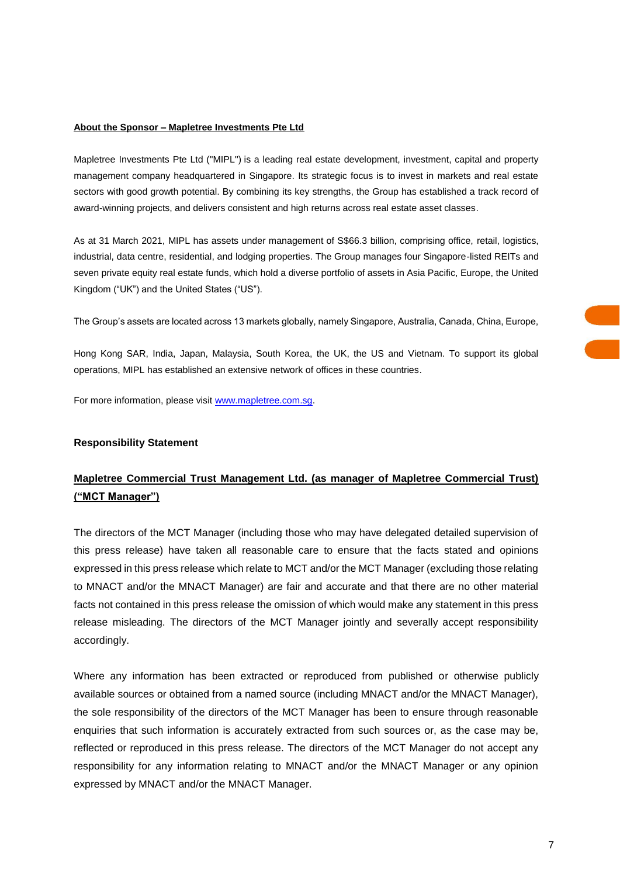### **About the Sponsor – Mapletree Investments Pte Ltd**

Mapletree Investments Pte Ltd ("MIPL") is a leading real estate development, investment, capital and property management company headquartered in Singapore. Its strategic focus is to invest in markets and real estate sectors with good growth potential. By combining its key strengths, the Group has established a track record of award-winning projects, and delivers consistent and high returns across real estate asset classes.

As at 31 March 2021, MIPL has assets under management of S\$66.3 billion, comprising office, retail, logistics, industrial, data centre, residential, and lodging properties. The Group manages four Singapore-listed REITs and seven private equity real estate funds, which hold a diverse portfolio of assets in Asia Pacific, Europe, the United Kingdom ("UK") and the United States ("US").

The Group's assets are located across 13 markets globally, namely Singapore, Australia, Canada, China, Europe,

Hong Kong SAR, India, Japan, Malaysia, South Korea, the UK, the US and Vietnam. To support its global operations, MIPL has established an extensive network of offices in these countries.

For more information, please visit [www.mapletree.com.sg.](http://www.mapletree.com.sg/)

## **Responsibility Statement**

# **Mapletree Commercial Trust Management Ltd. (as manager of Mapletree Commercial Trust) ("MCT Manager")**

The directors of the MCT Manager (including those who may have delegated detailed supervision of this press release) have taken all reasonable care to ensure that the facts stated and opinions expressed in this press release which relate to MCT and/or the MCT Manager (excluding those relating to MNACT and/or the MNACT Manager) are fair and accurate and that there are no other material facts not contained in this press release the omission of which would make any statement in this press release misleading. The directors of the MCT Manager jointly and severally accept responsibility accordingly.

Where any information has been extracted or reproduced from published or otherwise publicly available sources or obtained from a named source (including MNACT and/or the MNACT Manager), the sole responsibility of the directors of the MCT Manager has been to ensure through reasonable enquiries that such information is accurately extracted from such sources or, as the case may be, reflected or reproduced in this press release. The directors of the MCT Manager do not accept any responsibility for any information relating to MNACT and/or the MNACT Manager or any opinion expressed by MNACT and/or the MNACT Manager.